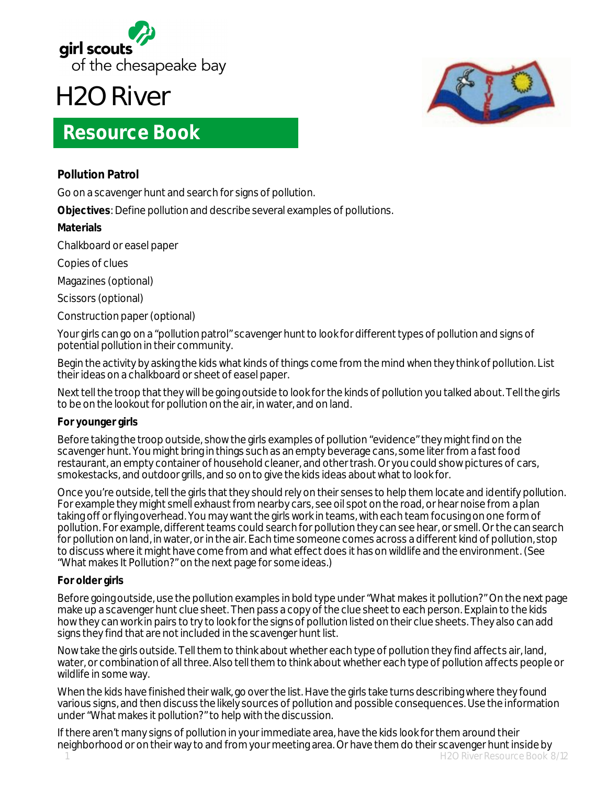

# **H2O River**

## **Resource Book**



## **Pollution Patrol**

Go on a scavenger hunt and search for signs of pollution.

**Objectives**: Define pollution and describe several examples of pollutions.

## **Materials**

Chalkboard or easel paper

Copies of clues

Magazines (optional)

Scissors (optional)

Construction paper (optional)

Your girls can go on a "pollution patrol" scavenger hunt to look for different types of pollution and signs of potential pollution in their community.

Begin the activity by asking the kids what kinds of things come from the mind when they think of pollution. List their ideas on a chalkboard or sheet of easel paper.

Next tell the troop that they will be going outside to look for the kinds of pollution you talked about. Tell the girls to be on the lookout for pollution on the air, in water, and on land.

## **For younger girls**

Before taking the troop outside, show the girls examples of pollution "evidence" they might find on the scavenger hunt. You might bring in things such as an empty beverage cans, some liter from a fast food restaurant, an empty container of household cleaner, and other trash. Or you could show pictures of cars, smokestacks, and outdoor grills, and so on to give the kids ideas about what to look for.

Once you're outside, tell the girls that they should rely on their senses to help them locate and identify pollution. For example they might smell exhaust from nearby cars, see oil spot on the road, or hear noise from a plan taking off or flying overhead. You may want the girls work in teams, with each team focusing on one form of pollution. For example, different teams could search for pollution they can see hear, or smell. Or the can search for pollution on land, in water, or in the air. Each time someone comes across a different kind of pollution, stop to discuss where it might have come from and what effect does it has on wildlife and the environment. (See "What makes It Pollution?" on the next page for some ideas.)

## **For older girls**

Before going outside, use the pollution examples in bold type under "What makes it pollution?" On the next page make up a scavenger hunt clue sheet. Then pass a copy of the clue sheet to each person. Explain to the kids how they can work in pairs to try to look for the signs of pollution listed on their clue sheets. They also can add signs they find that are not included in the scavenger hunt list.

Now take the girls outside. Tell them to think about whether each type of pollution they find affects air, land, water, or combination of all three. Also tell them to think about whether each type of pollution affects people or wildlife in some way.

When the kids have finished their walk, go over the list. Have the girls take turns describing where they found various signs, and then discuss the likely sources of pollution and possible consequences. Use the information under "What makes it pollution?" to help with the discussion.

If there aren't many signs of pollution in your immediate area, have the kids look for them around their neighborhood or on their way to and from your meeting area. Or have them do their scavenger hunt inside by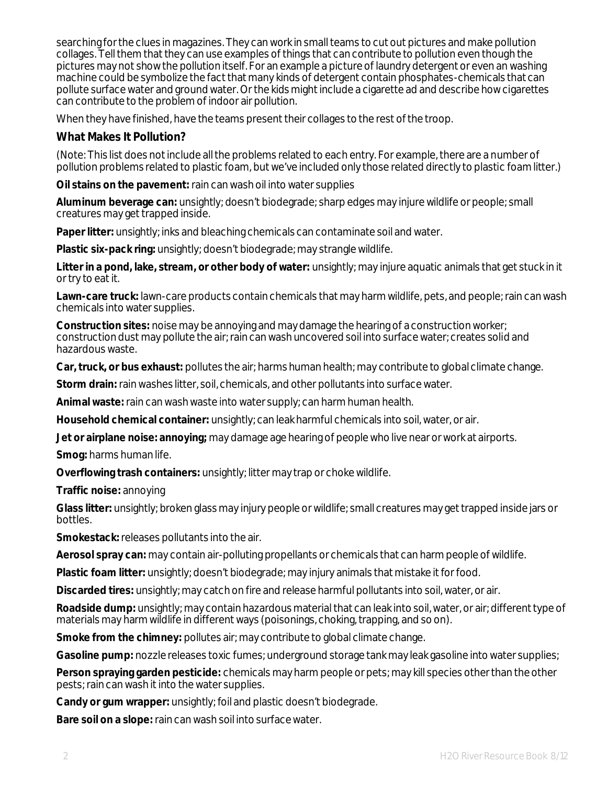searching for the clues in magazines. They can work in small teams to cut out pictures and make pollution collages. Tell them that they can use examples of things that can contribute to pollution even though the pictures may not show the pollution itself. For an example a picture of laundry detergent or even an washing machine could be symbolize the fact that many kinds of detergent contain phosphates-chemicals that can pollute surface water and ground water. Or the kids might include a cigarette ad and describe how cigarettes can contribute to the problem of indoor air pollution.

When they have finished, have the teams present their collages to the rest of the troop.

## **What Makes It Pollution?**

(Note: This list does not include all the problems related to each entry. For example, there are a number of pollution problems related to plastic foam, but we've included only those related directly to plastic foam litter.)

**Oil stains on the pavement:** rain can wash oil into water supplies

**Aluminum beverage can:** unsightly; doesn't biodegrade; sharp edges may injure wildlife or people; small creatures may get trapped inside.

**Paper litter:** unsightly; inks and bleaching chemicals can contaminate soil and water.

**Plastic six-pack ring:** unsightly; doesn't biodegrade; may strangle wildlife.

**Litter in a pond, lake, stream, or other body of water:** unsightly; may injure aquatic animals that get stuck in it or try to eat it.

**Lawn-care truck:** lawn-care products contain chemicals that may harm wildlife, pets, and people; rain can wash chemicals into water supplies.

**Construction sites:** noise may be annoying and may damage the hearing of a construction worker; construction dust may pollute the air; rain can wash uncovered soil into surface water; creates solid and hazardous waste.

**Car, truck, or bus exhaust:** pollutes the air; harms human health; may contribute to global climate change.

**Storm drain:** rain washes litter, soil, chemicals, and other pollutants into surface water.

**Animal waste:** rain can wash waste into water supply; can harm human health.

**Household chemical container:** unsightly; can leak harmful chemicals into soil, water, or air.

**Jet or airplane noise: annoying;** may damage age hearing of people who live near or work at airports.

**Smog:** harms human life.

**Overflowing trash containers:** unsightly; litter may trap or choke wildlife.

**Traffic noise:** annoying

**Glass litter:** unsightly; broken glass may injury people or wildlife; small creatures may get trapped inside jars or bottles.

**Smokestack:** releases pollutants into the air.

**Aerosol spray can:** may contain air-polluting propellants or chemicals that can harm people of wildlife.

**Plastic foam litter:** unsightly; doesn't biodegrade; may injury animals that mistake it for food.

**Discarded tires:** unsightly; may catch on fire and release harmful pollutants into soil, water, or air.

**Roadside dump:** unsightly; may contain hazardous material that can leak into soil, water, or air; different type of materials may harm wildlife in different ways (poisonings, choking, trapping, and so on).

**Smoke from the chimney:** pollutes air; may contribute to global climate change.

**Gasoline pump:** nozzle releases toxic fumes; underground storage tank may leak gasoline into water supplies;

**Person spraying garden pesticide:** chemicals may harm people or pets; may kill species other than the other pests; rain can wash it into the water supplies.

**Candy or gum wrapper:** unsightly; foil and plastic doesn't biodegrade.

**Bare soil on a slope:** rain can wash soil into surface water.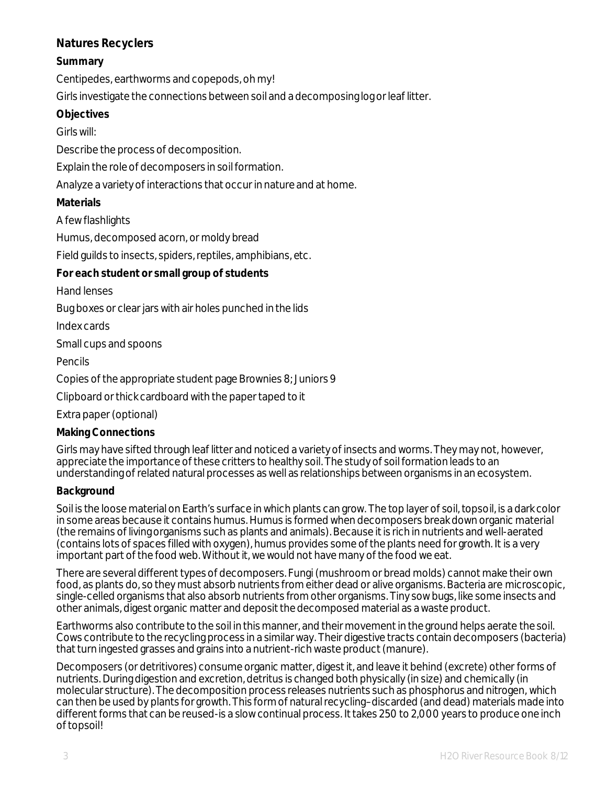## **Natures Recyclers**

## **Summary**

Centipedes, earthworms and copepods, oh my!

Girls investigate the connections between soil and a decomposing log or leaf litter.

#### **Objectives**

Girls will:

Describe the process of decomposition.

Explain the role of decomposers in soil formation.

Analyze a variety of interactions that occur in nature and at home.

#### **Materials**

A few flashlights

Humus, decomposed acorn, or moldy bread

Field guilds to insects, spiders, reptiles, amphibians, etc.

#### **For each student or small group of students**

Hand lenses

Bug boxes or clear jars with air holes punched in the lids

Index cards

Small cups and spoons

Pencils

Copies of the appropriate student page Brownies 8; Juniors 9

Clipboard or thick cardboard with the paper taped to it

Extra paper (optional)

#### **Making Connections**

Girls may have sifted through leaf litter and noticed a variety of insects and worms. They may not, however, appreciate the importance of these critters to healthy soil. The study of soil formation leads to an understanding of related natural processes as well as relationships between organisms in an ecosystem.

#### **Background**

Soil is the loose material on Earth's surface in which plants can grow. The top layer of soil, topsoil, is a dark color in some areas because it contains humus. Humus is formed when decomposers break down organic material (the remains of living organisms such as plants and animals). Because it is rich in nutrients and well-aerated (contains lots of spaces filled with oxygen), humus provides some of the plants need for growth. It is a very important part of the food web. Without it, we would not have many of the food we eat.

There are several different types of decomposers. Fungi (mushroom or bread molds) cannot make their own food, as plants do, so they must absorb nutrients from either dead or alive organisms. Bacteria are microscopic, single-celled organisms that also absorb nutrients from other organisms. Tiny sow bugs, like some insects and other animals, digest organic matter and deposit the decomposed material as a waste product.

Earthworms also contribute to the soil in this manner, and their movement in the ground helps aerate the soil. Cows contribute to the recycling process in a similar way. Their digestive tracts contain decomposers (bacteria) that turn ingested grasses and grains into a nutrient-rich waste product (manure).

Decomposers (or detritivores) consume organic matter, digest it, and leave it behind (excrete) other forms of nutrients. During digestion and excretion, detritus is changed both physically (in size) and chemically (in molecular structure). The decomposition process releases nutrients such as phosphorus and nitrogen, which can then be used by plants for growth. This form of natural recycling–discarded (and dead) materials made into different forms that can be reused-is a slow continual process. It takes 250 to 2,000 years to produce one inch of topsoil!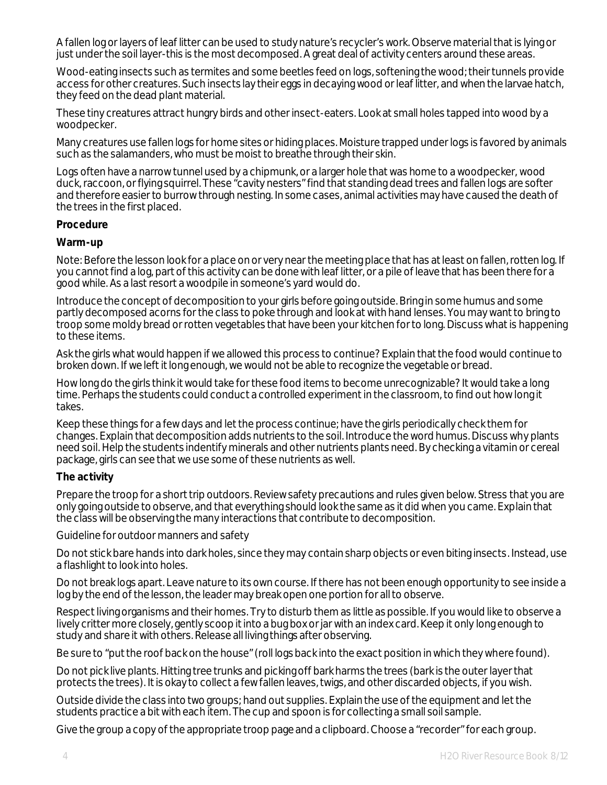A fallen log or layers of leaf litter can be used to study nature's recycler's work. Observe material that is lying or just under the soil layer-this is the most decomposed. A great deal of activity centers around these areas.

Wood-eating insects such as termites and some beetles feed on logs, softening the wood; their tunnels provide access for other creatures. Such insects lay their eggs in decaying wood or leaf litter, and when the larvae hatch, they feed on the dead plant material.

These tiny creatures attract hungry birds and other insect-eaters. Look at small holes tapped into wood by a woodpecker.

Many creatures use fallen logs for home sites or hiding places. Moisture trapped under logs is favored by animals such as the salamanders, who must be moist to breathe through their skin.

Logs often have a narrow tunnel used by a chipmunk, or a larger hole that was home to a woodpecker, wood duck, raccoon, or flying squirrel. These "cavity nesters" find that standing dead trees and fallen logs are softer and therefore easier to burrow through nesting. In some cases, animal activities may have caused the death of the trees in the first placed.

#### **Procedure**

#### **Warm-up**

Note: Before the lesson look for a place on or very near the meeting place that has at least on fallen, rotten log. If you cannot find a log, part of this activity can be done with leaf litter, or a pile of leave that has been there for a good while. As a last resort a woodpile in someone's yard would do.

Introduce the concept of decomposition to your girls before going outside. Bring in some humus and some partly decomposed acorns for the class to poke through and look at with hand lenses. You may want to bring to troop some moldy bread or rotten vegetables that have been your kitchen for to long. Discuss what is happening to these items.

Ask the girls what would happen if we allowed this process to continue? Explain that the food would continue to broken down. If we left it long enough, we would not be able to recognize the vegetable or bread.

How long do the girls think it would take for these food items to become unrecognizable? It would take a long time. Perhaps the students could conduct a controlled experiment in the classroom, to find out how long it takes.

Keep these things for a few days and let the process continue; have the girls periodically check them for changes. Explain that decomposition adds nutrients to the soil. Introduce the word humus. Discuss why plants need soil. Help the students indentify minerals and other nutrients plants need. By checking a vitamin or cereal package, girls can see that we use some of these nutrients as well.

#### **The activity**

Prepare the troop for a short trip outdoors. Review safety precautions and rules given below. Stress that you are only going outside to observe, and that everything should look the same as it did when you came. Explain that the class will be observing the many interactions that contribute to decomposition.

Guideline for outdoor manners and safety

Do not stick bare hands into dark holes, since they may contain sharp objects or even biting insects. Instead, use a flashlight to look into holes.

Do not break logs apart. Leave nature to its own course. If there has not been enough opportunity to see inside a log by the end of the lesson, the leader may break open one portion for all to observe.

Respect living organisms and their homes. Try to disturb them as little as possible. If you would like to observe a lively critter more closely, gently scoop it into a bug box or jar with an index card. Keep it only long enough to study and share it with others. Release all living things after observing.

Be sure to "put the roof back on the house" (roll logs back into the exact position in which they where found).

Do not pick live plants. Hitting tree trunks and picking off bark harms the trees (bark is the outer layer that protects the trees). It is okay to collect a few fallen leaves, twigs, and other discarded objects, if you wish.

Outside divide the class into two groups; hand out supplies. Explain the use of the equipment and let the students practice a bit with each item. The cup and spoon is for collecting a small soil sample.

Give the group a copy of the appropriate troop page and a clipboard. Choose a "recorder" for each group.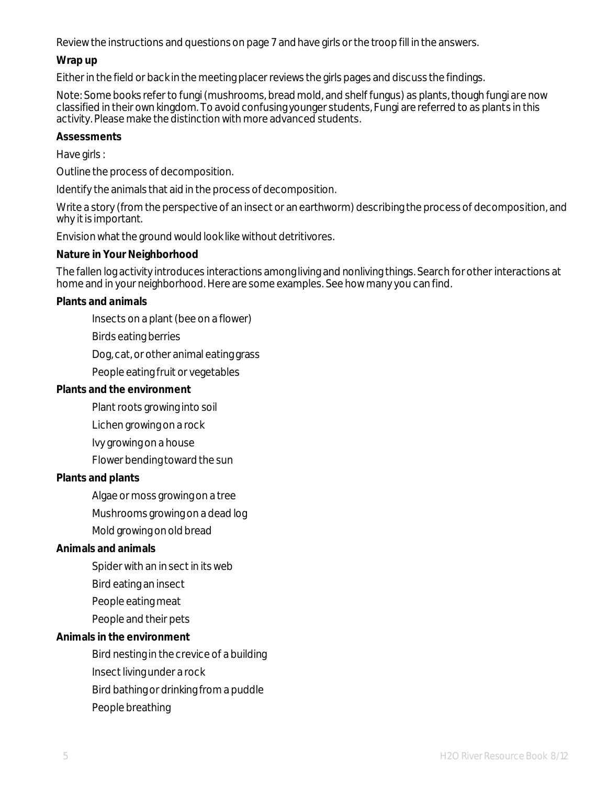Review the instructions and questions on page 7 and have girls or the troop fill in the answers.

#### **Wrap up**

Either in the field or back in the meeting placer reviews the girls pages and discuss the findings.

Note: Some books refer to fungi (mushrooms, bread mold, and shelf fungus) as plants, though fungi are now classified in their own kingdom. To avoid confusing younger students, Fungi are referred to as plants in this activity. Please make the distinction with more advanced students.

#### **Assessments**

Have girls :

Outline the process of decomposition.

Identify the animals that aid in the process of decomposition.

Write a story (from the perspective of an insect or an earthworm) describing the process of decomposition, and why it is important.

Envision what the ground would look like without detritivores.

#### **Nature in Your Neighborhood**

The fallen log activity introduces interactions among living and nonliving things. Search for other interactions at home and in your neighborhood. Here are some examples. See how many you can find.

#### **Plants and animals**

Insects on a plant (bee on a flower)

Birds eating berries

Dog, cat, or other animal eating grass

People eating fruit or vegetables

#### **Plants and the environment**

Plant roots growing into soil

Lichen growing on a rock

Ivy growing on a house

Flower bending toward the sun

#### **Plants and plants**

Algae or moss growing on a tree

Mushrooms growing on a dead log

Mold growing on old bread

#### **Animals and animals**

Spider with an in sect in its web

Bird eating an insect

People eating meat

People and their pets

#### **Animals in the environment**

Bird nesting in the crevice of a building Insect living under a rock Bird bathing or drinking from a puddle People breathing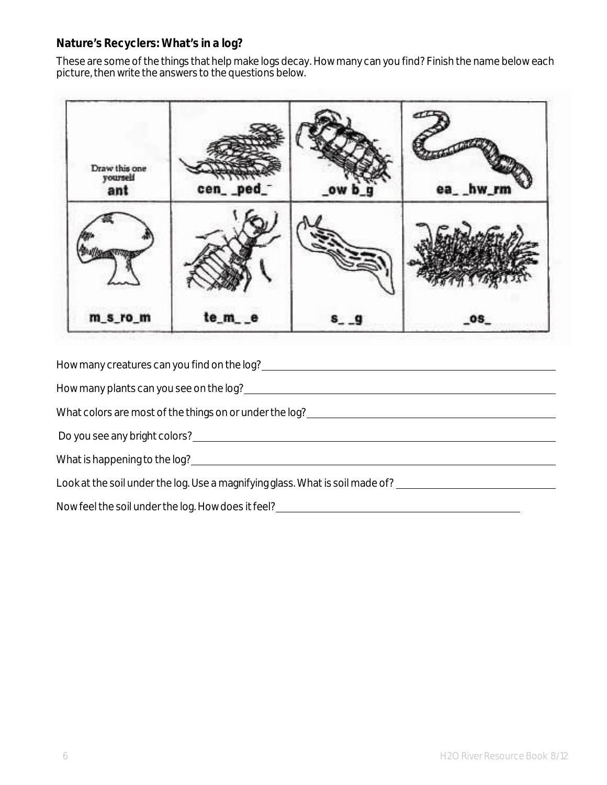## **Nature's Recyclers: What's in a log?**

These are some of the things that help make logs decay. How many can you find? Finish the name below each picture, then write the answers to the questions below.



Look at the soil under the log. Use a magnifying glass. What is soil made of?

Now feel the soil under the log. How does it feel?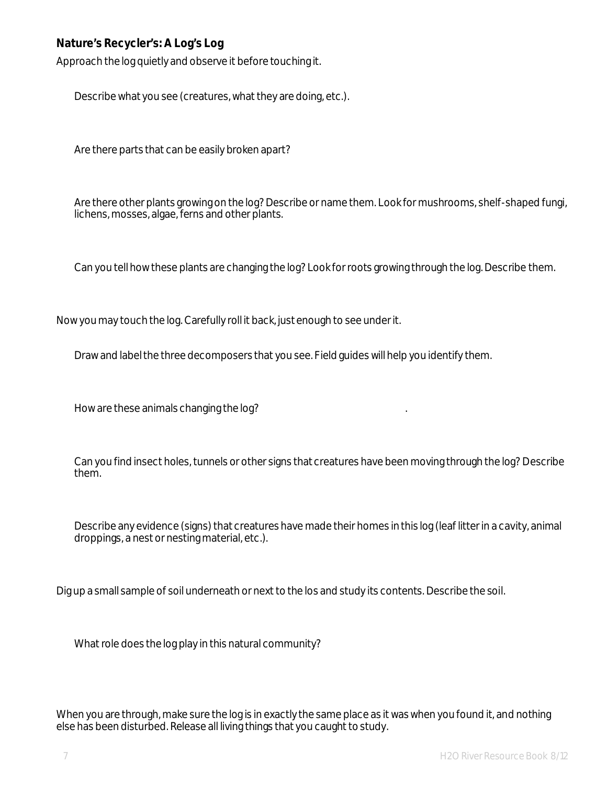## **Nature's Recycler's: A Log's Log**

Approach the log quietly and observe it before touching it.

Describe what you see (creatures, what they are doing, etc.).

Are there parts that can be easily broken apart?

Are there other plants growing on the log? Describe or name them. Look for mushrooms, shelf-shaped fungi, lichens, mosses, algae, ferns and other plants.

Can you tell how these plants are changing the log? Look for roots growing through the log. Describe them.

Now you may touch the log. Carefully roll it back, just enough to see under it.

Draw and label the three decomposers that you see. Field guides will help you identify them.

How are these animals changing the log? .

Can you find insect holes, tunnels or other signs that creatures have been moving through the log? Describe them.

Describe any evidence (signs) that creatures have made their homes in this log (leaf litter in a cavity, animal droppings, a nest or nesting material, etc.).

Dig up a small sample of soil underneath or next to the los and study its contents. Describe the soil.

What role does the log play in this natural community?

When you are through, make sure the log is in exactly the same place as it was when you found it, and nothing else has been disturbed. Release all living things that you caught to study.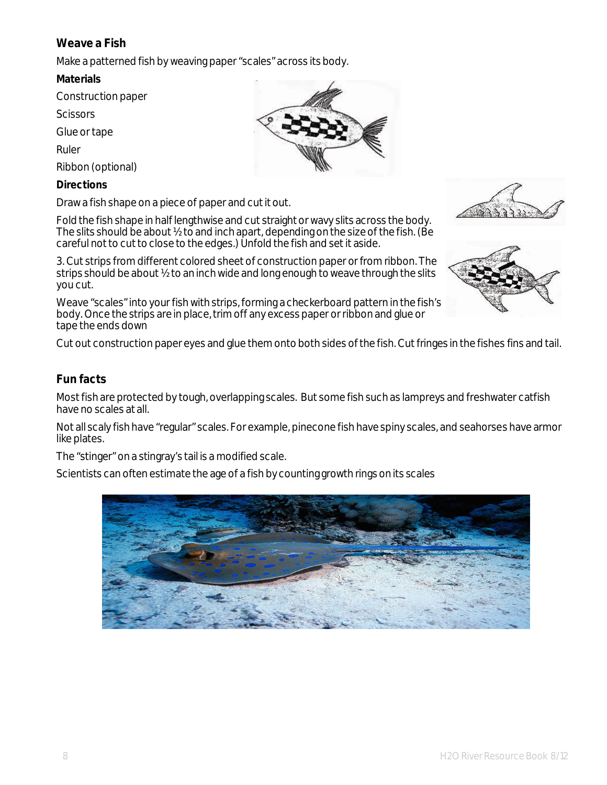## **Weave a Fish**

Make a patterned fish by weaving paper "scales" across its body.

#### **Materials**

Construction paper

**Scissors** 

Glue or tape

Ruler

Ribbon (optional)

#### **Directions**

Draw a fish shape on a piece of paper and cut it out.

Fold the fish shape in half lengthwise and cut straight or wavy slits across the body. The slits should be about  $\frac{1}{2}$  to and inch apart, depending on the size of the fish. (Be careful not to cut to close to the edges.) Unfold the fish and set it aside.

3. Cut strips from different colored sheet of construction paper or from ribbon. The strips should be about 1/2 to an inch wide and long enough to weave through the slits you cut.

Weave "scales" into your fish with strips, forming a checkerboard pattern in the fish's body. Once the strips are in place, trim off any excess paper or ribbon and glue or tape the ends down

Cut out construction paper eyes and glue them onto both sides of the fish. Cut fringes in the fishes fins and tail.

## **Fun facts**

Most fish are protected by tough, overlapping scales. But some fish such as lampreys and freshwater catfish have no scales at all.

Not all scaly fish have "regular" scales. For example, pinecone fish have spiny scales, and seahorses have armor like plates.

The "stinger" on a stingray's tail is a modified scale.

Scientists can often estimate the age of a fish by counting growth rings on its scales







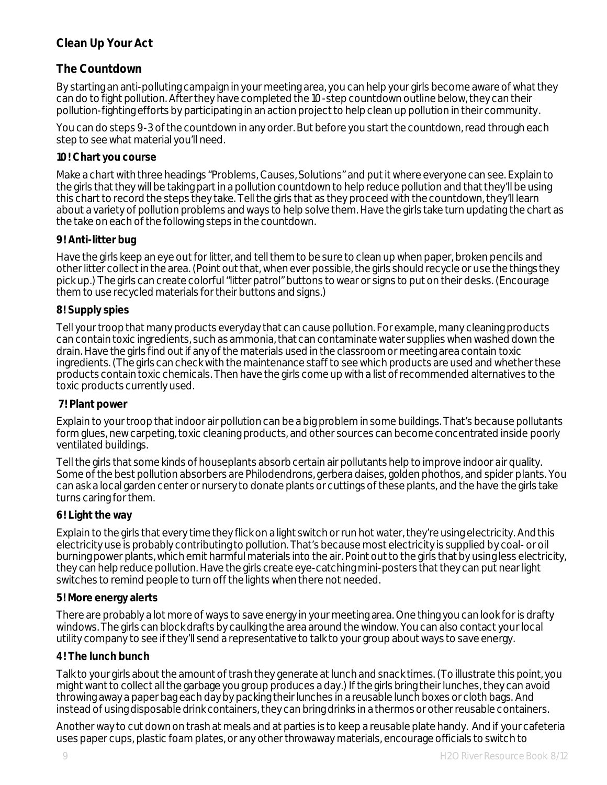## **Clean Up Your Act**

## **The Countdown**

By starting an anti-polluting campaign in your meeting area, you can help your girls become aware of what they can do to fight pollution. After they have completed the 10-step countdown outline below, they can their pollution-fighting efforts by participating in an action project to help clean up pollution in their community.

You can do steps 9-3 of the countdown in any order. But before you start the countdown, read through each step to see what material you'll need.

#### **10! Chart you course**

Make a chart with three headings "Problems, Causes, Solutions" and put it where everyone can see. Explain to the girls that they will be taking part in a pollution countdown to help reduce pollution and that they'll be using this chart to record the steps they take. Tell the girls that as they proceed with the countdown, they'll learn about a variety of pollution problems and ways to help solve them. Have the girls take turn updating the chart as the take on each of the following steps in the countdown.

#### **9! Anti-litter bug**

Have the girls keep an eye out for litter, and tell them to be sure to clean up when paper, broken pencils and other litter collect in the area. (Point out that, when ever possible, the girls should recycle or use the things they pick up.) The girls can create colorful "litter patrol" buttons to wear or signs to put on their desks. (Encourage them to use recycled materials for their buttons and signs.)

#### **8! Supply spies**

Tell your troop that many products everyday that can cause pollution. For example, many cleaning products can contain toxic ingredients, such as ammonia, that can contaminate water supplies when washed down the drain. Have the girls find out if any of the materials used in the classroom or meeting area contain toxic ingredients. (The girls can check with the maintenance staff to see which products are used and whether these products contain toxic chemicals. Then have the girls come up with a list of recommended alternatives to the toxic products currently used.

#### **7! Plant power**

Explain to your troop that indoor air pollution can be a big problem in some buildings. That's because pollutants form glues, new carpeting, toxic cleaning products, and other sources can become concentrated inside poorly ventilated buildings.

Tell the girls that some kinds of houseplants absorb certain air pollutants help to improve indoor air quality. Some of the best pollution absorbers are Philodendrons, gerbera daises, golden phothos, and spider plants. You can ask a local garden center or nursery to donate plants or cuttings of these plants, and the have the girls take turns caring for them.

#### **6! Light the way**

Explain to the girls that every time they flick on a light switch or run hot water, they're using electricity. And this electricity use is probably contributing to pollution. That's because most electricity is supplied by coal- or oil burning power plants, which emit harmful materials into the air. Point out to the girls that by using less electricity, they can help reduce pollution. Have the girls create eye-catching mini-posters that they can put near light switches to remind people to turn off the lights when there not needed.

#### **5! More energy alerts**

There are probably a lot more of ways to save energy in your meeting area. One thing you can look for is drafty windows. The girls can block drafts by caulking the area around the window. You can also contact your local utility company to see if they'll send a representative to talk to your group about ways to save energy.

#### **4! The lunch bunch**

Talk to your girls about the amount of trash they generate at lunch and snack times. (To illustrate this point, you might want to collect all the garbage you group produces a day.) If the girls bring their lunches, they can avoid throwing away a paper bag each day by packing their lunches in a reusable lunch boxes or cloth bags. And instead of using disposable drink containers, they can bring drinks in a thermos or other reusable containers.

Another way to cut down on trash at meals and at parties is to keep a reusable plate handy. And if your cafeteria uses paper cups, plastic foam plates, or any other throwaway materials, encourage officials to switch to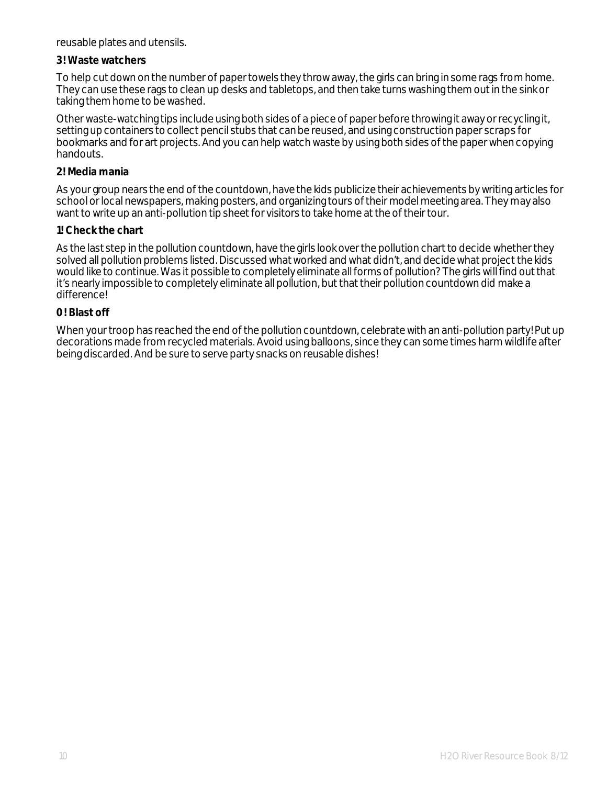#### reusable plates and utensils.

#### **3! Waste watchers**

To help cut down on the number of paper towels they throw away, the girls can bring in some rags from home. They can use these rags to clean up desks and tabletops, and then take turns washing them out in the sink or taking them home to be washed.

Other waste-watching tips include using both sides of a piece of paper before throwing it away or recycling it, setting up containers to collect pencil stubs that can be reused, and using construction paper scraps for bookmarks and for art projects. And you can help watch waste by using both sides of the paper when copying handouts.

#### **2! Media mania**

As your group nears the end of the countdown, have the kids publicize their achievements by writing articles for school or local newspapers, making posters, and organizing tours of their model meeting area. They may also want to write up an anti-pollution tip sheet for visitors to take home at the of their tour.

#### **1! Check the chart**

As the last step in the pollution countdown, have the girls look over the pollution chart to decide whether they solved all pollution problems listed. Discussed what worked and what didn't, and decide what project the kids would like to continue. Was it possible to completely eliminate all forms of pollution? The girls will find out that it's nearly impossible to completely eliminate all pollution, but that their pollution countdown did make a difference!

#### **0! Blast off**

When your troop has reached the end of the pollution countdown, celebrate with an anti-pollution party! Put up decorations made from recycled materials. Avoid using balloons, since they can some times harm wildlife after being discarded. And be sure to serve party snacks on reusable dishes!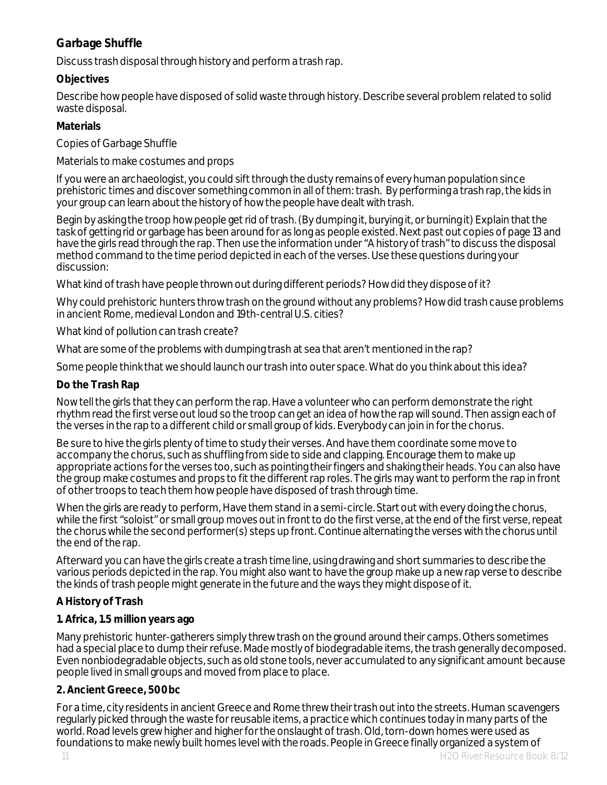## **Garbage Shuffle**

Discuss trash disposal through history and perform a trash rap.

## **Objectives**

Describe how people have disposed of solid waste through history. Describe several problem related to solid waste disposal.

## **Materials**

Copies of Garbage Shuffle

Materials to make costumes and props

If you were an archaeologist, you could sift through the dusty remains of every human population since prehistoric times and discover something common in all of them: trash. By performing a trash rap, the kids in your group can learn about the history of how the people have dealt with trash.

Begin by asking the troop how people get rid of trash. (By dumping it, burying it, or burning it) Explain that the task of getting rid or garbage has been around for as long as people existed. Next past out copies of page 13 and have the girls read through the rap. Then use the information under "A history of trash" to discuss the disposal method command to the time period depicted in each of the verses. Use these questions during your discussion:

What kind of trash have people thrown out during different periods? How did they dispose of it?

Why could prehistoric hunters throw trash on the ground without any problems? How did trash cause problems in ancient Rome, medieval London and 19th-central U.S. cities?

What kind of pollution can trash create?

What are some of the problems with dumping trash at sea that aren't mentioned in the rap?

Some people think that we should launch our trash into outer space. What do you think about this idea?

## **Do the Trash Rap**

Now tell the girls that they can perform the rap. Have a volunteer who can perform demonstrate the right rhythm read the first verse out loud so the troop can get an idea of how the rap will sound. Then assign each of the verses in the rap to a different child or small group of kids. Everybody can join in for the chorus.

Be sure to hive the girls plenty of time to study their verses. And have them coordinate some move to accompany the chorus, such as shuffling from side to side and clapping. Encourage them to make up appropriate actions for the verses too, such as pointing their fingers and shaking their heads. You can also have the group make costumes and props to fit the different rap roles. The girls may want to perform the rap in front of other troops to teach them how people have disposed of trash through time.

When the girls are ready to perform, Have them stand in a semi-circle. Start out with every doing the chorus, while the first "soloist" or small group moves out in front to do the first verse, at the end of the first verse, repeat the chorus while the second performer(s) steps up front. Continue alternating the verses with the chorus until the end of the rap.

Afterward you can have the girls create a trash time line, using drawing and short summaries to describe the various periods depicted in the rap. You might also want to have the group make up a new rap verse to describe the kinds of trash people might generate in the future and the ways they might dispose of it.

## **A History of Trash**

## **1. Africa, 1.5 million years ago**

Many prehistoric hunter-gatherers simply threw trash on the ground around their camps. Others sometimes had a special place to dump their refuse. Made mostly of biodegradable items, the trash generally decomposed. Even nonbiodegradable objects, such as old stone tools, never accumulated to any significant amount because people lived in small groups and moved from place to place.

## **2. Ancient Greece, 500bc**

For a time, city residents in ancient Greece and Rome threw their trash out into the streets. Human scavengers regularly picked through the waste for reusable items, a practice which continues today in many parts of the world. Road levels grew higher and higher for the onslaught of trash. Old, torn-down homes were used as foundations to make newly built homes level with the roads. People in Greece finally organized a system of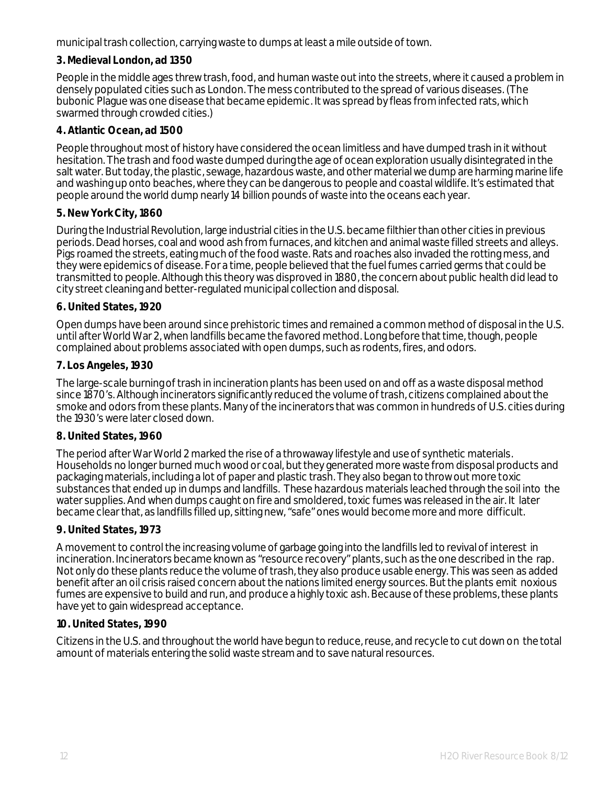municipal trash collection, carrying waste to dumps at least a mile outside of town.

## **3. Medieval London, ad 1350**

People in the middle ages threw trash, food, and human waste out into the streets, where it caused a problem in densely populated cities such as London. The mess contributed to the spread of various diseases. (The bubonic Plague was one disease that became epidemic. It was spread by fleas from infected rats, which swarmed through crowded cities.)

## **4. Atlantic Ocean, ad 1500**

People throughout most of history have considered the ocean limitless and have dumped trash in it without hesitation. The trash and food waste dumped during the age of ocean exploration usually disintegrated in the salt water. But today, the plastic, sewage, hazardous waste, and other material we dump are harming marine life and washing up onto beaches, where they can be dangerous to people and coastal wildlife. It's estimated that people around the world dump nearly 14 billion pounds of waste into the oceans each year.

## **5. New York City, 1860**

During the Industrial Revolution, large industrial cities in the U.S. became filthier than other cities in previous periods. Dead horses, coal and wood ash from furnaces, and kitchen and animal waste filled streets and alleys. Pigs roamed the streets, eating much of the food waste. Rats and roaches also invaded the rotting mess, and they were epidemics of disease. For a time, people believed that the fuel fumes carried germs that could be transmitted to people. Although this theory was disproved in 1880, the concern about public health did lead to city street cleaning and better-regulated municipal collection and disposal.

## **6. United States, 1920**

Open dumps have been around since prehistoric times and remained a common method of disposal in the U.S. until after World War 2, when landfills became the favored method. Long before that time, though, people complained about problems associated with open dumps, such as rodents, fires, and odors.

## **7. Los Angeles, 1930**

The large-scale burning of trash in incineration plants has been used on and off as a waste disposal method since 1870's. Although incinerators significantly reduced the volume of trash, citizens complained about the smoke and odors from these plants. Many of the incinerators that was common in hundreds of U.S. cities during the 1930's were later closed down.

## **8. United States, 1960**

The period after War World 2 marked the rise of a throwaway lifestyle and use of synthetic materials. Households no longer burned much wood or coal, but they generated more waste from disposal products and packaging materials, including a lot of paper and plastic trash. They also began to throw out more toxic substances that ended up in dumps and landfills. These hazardous materials leached through the soil into the water supplies. And when dumps caught on fire and smoldered, toxic fumes was released in the air. It later became clear that, as landfills filled up, sitting new, "safe" ones would become more and more difficult.

## **9. United States, 1973**

A movement to control the increasing volume of garbage going into the landfills led to revival of interest in incineration. Incinerators became known as "resource recovery" plants, such as the one described in the rap. Not only do these plants reduce the volume of trash, they also produce usable energy. This was seen as added benefit after an oil crisis raised concern about the nations limited energy sources. But the plants emit noxious fumes are expensive to build and run, and produce a highly toxic ash. Because of these problems, these plants have yet to gain widespread acceptance.

## **10. United States, 1990**

Citizens in the U.S. and throughout the world have begun to reduce, reuse, and recycle to cut down on the total amount of materials entering the solid waste stream and to save natural resources.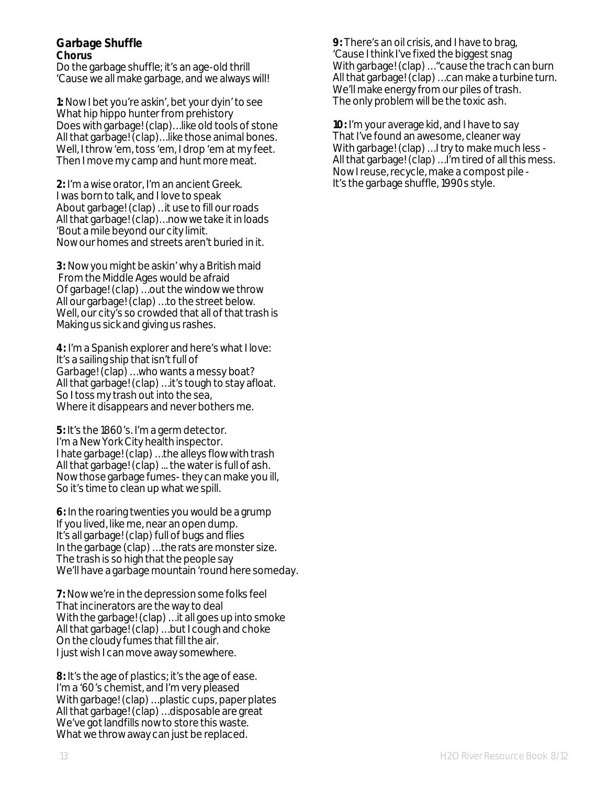#### **Garbage Shuffle Chorus**

Do the garbage shuffle; it's an age-old thrill 'Cause we all make garbage, and we always will!

**1:** Now I bet you're askin', bet your dyin' to see What hip hippo hunter from prehistory Does with garbage! (clap)… like old tools of stone All that garbage! (clap)… like those animal bones. Well, I throw 'em, toss 'em, I drop 'em at my feet. Then I move my camp and hunt more meat.

**2:** I'm a wise orator, I'm an ancient Greek. I was born to talk, and I love to speak About garbage! (clap) …it use to fill our roads All that garbage! (clap)… now we take it in loads 'Bout a mile beyond our city limit. Now our homes and streets aren't buried in it.

**3:** Now you might be askin' why a British maid From the Middle Ages would be afraid Of garbage! (clap) … out the window we throw All our garbage! (clap) … to the street below. Well, our city's so crowded that all of that trash is Making us sick and giving us rashes.

**4:** I'm a Spanish explorer and here's what I love: It's a sailing ship that isn't full of Garbage! (clap) … who wants a messy boat? All that garbage! (clap) … it's tough to stay afloat. So I toss my trash out into the sea, Where it disappears and never bothers me.

**5:** It's the 1860's. I'm a germ detector. I'm a New York City health inspector. I hate garbage! (clap) … the alleys flow with trash All that garbage! (clap) ... the water is full of ash. Now those garbage fumes-they can make you ill, So it's time to clean up what we spill.

**6:** In the roaring twenties you would be a grump If you lived, like me, near an open dump. It's all garbage! (clap) full of bugs and flies In the garbage (clap) … the rats are monster size. The trash is so high that the people say We'll have a garbage mountain 'round here someday.

**7:** Now we're in the depression some folks feel That incinerators are the way to deal With the garbage! (clap) … it all goes up into smoke All that garbage! (clap) … but I cough and choke On the cloudy fumes that fill the air. I just wish I can move away somewhere.

**8:** It's the age of plastics; it's the age of ease. I'm a '60's chemist, and I'm very pleased With garbage! (clap) … plastic cups, paper plates All that garbage! (clap) … disposable are great We've got landfills now to store this waste. What we throw away can just be replaced.

**9:** There's an oil crisis, and I have to brag, 'Cause I think I've fixed the biggest snag With garbage! (clap) … "cause the trach can burn All that garbage! (clap) … can make a turbine turn. We'll make energy from our piles of trash. The only problem will be the toxic ash.

**10:** I'm your average kid, and I have to say That I've found an awesome, cleaner way With garbage! (clap) … I try to make much less - All that garbage! (clap) … I'm tired of all this mess. Now I reuse, recycle, make a compost pile - It's the garbage shuffle, 1990s style.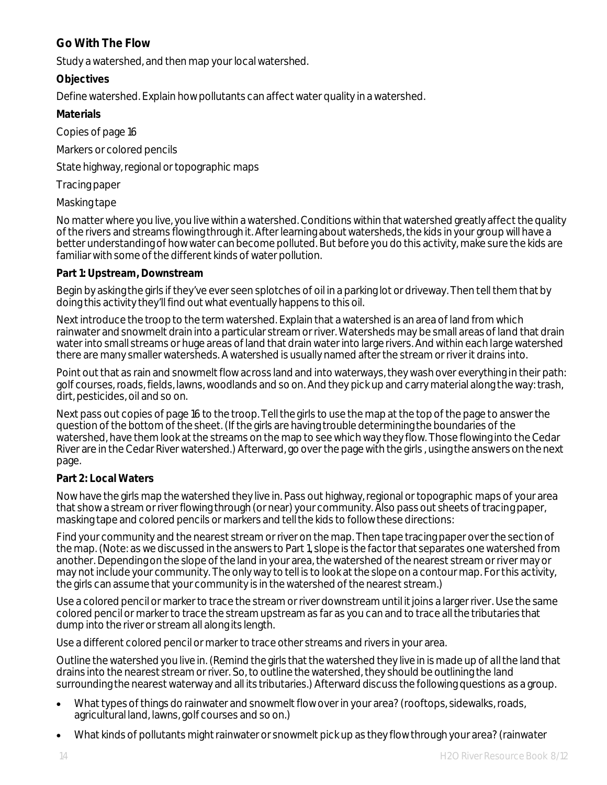## **Go With The Flow**

Study a watershed, and then map your local watershed.

## **Objectives**

Define watershed. Explain how pollutants can affect water quality in a watershed.

#### **Materials**

Copies of page 16

Markers or colored pencils

State highway, regional or topographic maps

Tracing paper

Masking tape

No matter where you live, you live within a watershed. Conditions within that watershed greatly affect the quality of the rivers and streams flowing through it. After learning about watersheds, the kids in your group will have a better understanding of how water can become polluted. But before you do this activity, make sure the kids are familiar with some of the different kinds of water pollution.

## **Part 1: Upstream, Downstream**

Begin by asking the girls if they've ever seen splotches of oil in a parking lot or driveway. Then tell them that by doing this activity they'll find out what eventually happens to this oil.

Next introduce the troop to the term watershed. Explain that a watershed is an area of land from which rainwater and snowmelt drain into a particular stream or river. Watersheds may be small areas of land that drain water into small streams or huge areas of land that drain water into large rivers. And within each large watershed there are many smaller watersheds. A watershed is usually named after the stream or river it drains into.

Point out that as rain and snowmelt flow across land and into waterways, they wash over everything in their path: golf courses, roads, fields, lawns, woodlands and so on. And they pick up and carry material along the way: trash, dirt, pesticides, oil and so on.

Next pass out copies of page 16 to the troop. Tell the girls to use the map at the top of the page to answer the question of the bottom of the sheet. (If the girls are having trouble determining the boundaries of the watershed, have them look at the streams on the map to see which way they flow. Those flowing into the Cedar River are in the Cedar River watershed.) Afterward, go over the page with the girls , using the answers on the next page.

## **Part 2: Local Waters**

Now have the girls map the watershed they live in. Pass out highway, regional or topographic maps of your area that show a stream or river flowing through (or near) your community. Also pass out sheets of tracing paper, masking tape and colored pencils or markers and tell the kids to follow these directions:

Find your community and the nearest stream or river on the map. Then tape tracing paper over the section of the map. (Note: as we discussed in the answers to Part 1, slope is the factor that separates one watershed from another. Depending on the slope of the land in your area, the watershed of the nearest stream or river may or may not include your community. The only way to tell is to look at the slope on a contour map. For this activity, the girls can assume that your community is in the watershed of the nearest stream.)

Use a colored pencil or marker to trace the stream or river downstream until it joins a larger river. Use the same colored pencil or marker to trace the stream upstream as far as you can and to trace all the tributaries that dump into the river or stream all along its length.

Use a different colored pencil or marker to trace other streams and rivers in your area.

Outline the watershed you live in. (Remind the girls that the watershed they live in is made up of all the land that drains into the nearest stream or river. So, to outline the watershed, they should be outlining the land surrounding the nearest waterway and all its tributaries.) Afterward discuss the following questions as a group.

- What types of things do rainwater and snowmelt flow over in your area? (rooftops, sidewalks, roads, agricultural land, lawns, golf courses and so on.)
- What kinds of pollutants might rainwater or snowmelt pick up as they flow through your area? (rainwater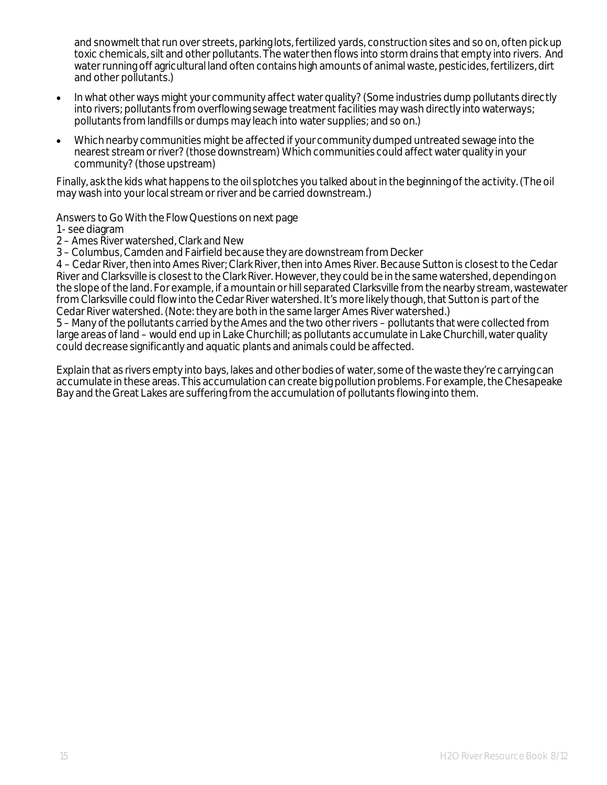and snowmelt that run over streets, parking lots, fertilized yards, construction sites and so on, often pick up toxic chemicals, silt and other pollutants. The water then flows into storm drains that empty into rivers. And water running off agricultural land often contains high amounts of animal waste, pesticides, fertilizers, dirt and other pollutants.)

- In what other ways might your community affect water quality? (Some industries dump pollutants directly into rivers; pollutants from overflowing sewage treatment facilities may wash directly into waterways; pollutants from landfills or dumps may leach into water supplies; and so on.)
- Which nearby communities might be affected if your community dumped untreated sewage into the nearest stream or river? (those downstream) Which communities could affect water quality in your community? (those upstream)

Finally, ask the kids what happens to the oil splotches you talked about in the beginning of the activity. (The oil may wash into your local stream or river and be carried downstream.)

Answers to Go With the Flow Questions on next page

- 1 see diagram
- 2 Ames River watershed, Clark and New

3 – Columbus, Camden and Fairfield because they are downstream from Decker

4 – Cedar River, then into Ames River; Clark River, then into Ames River. Because Sutton is closest to the Cedar River and Clarksville is closest to the Clark River. However, they could be in the same watershed, depending on the slope of the land. For example, if a mountain or hill separated Clarksville from the nearby stream, wastewater from Clarksville could flow into the Cedar River watershed. It's more likely though, that Sutton is part of the Cedar River watershed. (Note: they are both in the same larger Ames River watershed.)

5 – Many of the pollutants carried by the Ames and the two other rivers – pollutants that were collected from large areas of land – would end up in Lake Churchill; as pollutants accumulate in Lake Churchill, water quality could decrease significantly and aquatic plants and animals could be affected.

Explain that as rivers empty into bays, lakes and other bodies of water, some of the waste they're carrying can accumulate in these areas. This accumulation can create big pollution problems. For example, the Chesapeake Bay and the Great Lakes are suffering from the accumulation of pollutants flowing into them.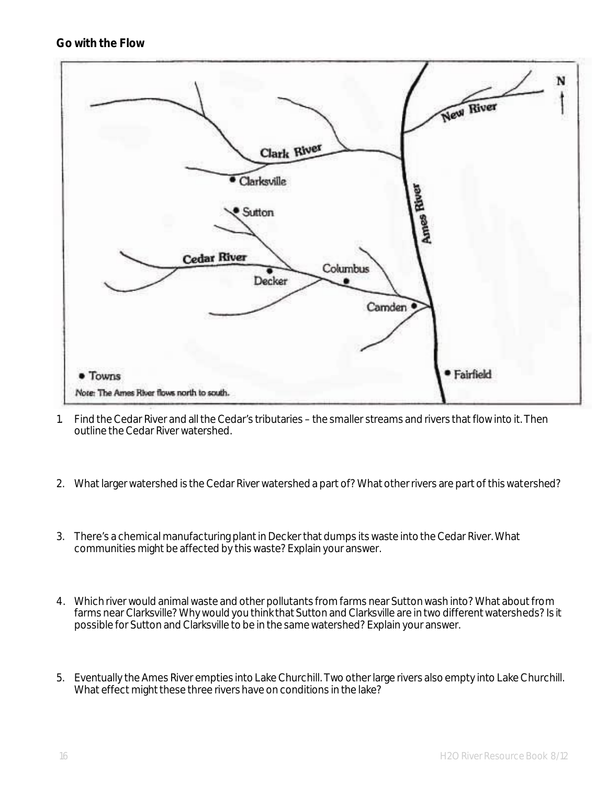

- 1. Find the Cedar River and all the Cedar's tributaries the smaller streams and rivers that flow into it. Then outline the Cedar River watershed.
- 2. What larger watershed is the Cedar River watershed a part of? What other rivers are part of this watershed?
- 3. There's a chemical manufacturing plant in Decker that dumps its waste into the Cedar River. What communities might be affected by this waste? Explain your answer.
- 4. Which river would animal waste and other pollutants from farms near Sutton wash into? What about from farms near Clarksville? Why would you think that Sutton and Clarksville are in two different watersheds? Is it possible for Sutton and Clarksville to be in the same watershed? Explain your answer.
- 5. Eventually the Ames River empties into Lake Churchill. Two other large rivers also empty into Lake Churchill. What effect might these three rivers have on conditions in the lake?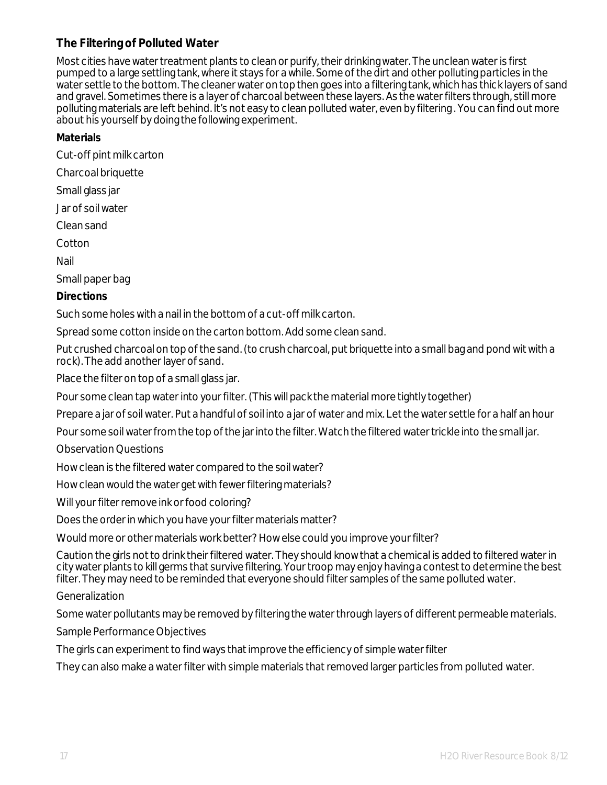## **The Filtering of Polluted Water**

Most cities have water treatment plants to clean or purify, their drinking water. The unclean water is first pumped to a large settling tank, where it stays for a while. Some of the dirt and other polluting particles in the water settle to the bottom. The cleaner water on top then goes into a filtering tank, which has thick layers of sand and gravel. Sometimes there is a layer of charcoal between these layers. As the water filters through, still more polluting materials are left behind. It's not easy to clean polluted water, even by filtering . You can find out more about his yourself by doing the following experiment.

#### **Materials**

Cut-off pint milk carton

Charcoal briquette

Small glass jar

Jar of soil water

Clean sand

Cotton

Nail

Small paper bag

#### **Directions**

Such some holes with a nail in the bottom of a cut-off milk carton.

Spread some cotton inside on the carton bottom. Add some clean sand.

Put crushed charcoal on top of the sand. (to crush charcoal, put briquette into a small bag and pond wit with a rock). The add another layer of sand.

Place the filter on top of a small glass jar.

Pour some clean tap water into your filter. (This will pack the material more tightly together)

Prepare a jar of soil water. Put a handful of soil into a jar of water and mix. Let the water settle for a half an hour

Pour some soil water from the top of the jar into the filter. Watch the filtered water trickle into the small jar.

Observation Questions

How clean is the filtered water compared to the soil water?

How clean would the water get with fewer filtering materials?

Will your filter remove ink or food coloring?

Does the order in which you have your filter materials matter?

Would more or other materials work better? How else could you improve your filter?

Caution the girls not to drink their filtered water. They should know that a chemical is added to filtered water in city water plants to kill germs that survive filtering. Your troop may enjoy having a contest to determine the best filter. They may need to be reminded that everyone should filter samples of the same polluted water.

**Generalization** 

Some water pollutants may be removed by filtering the water through layers of different permeable materials.

Sample Performance Objectives

The girls can experiment to find ways that improve the efficiency of simple water filter

They can also make a water filter with simple materials that removed larger particles from polluted water.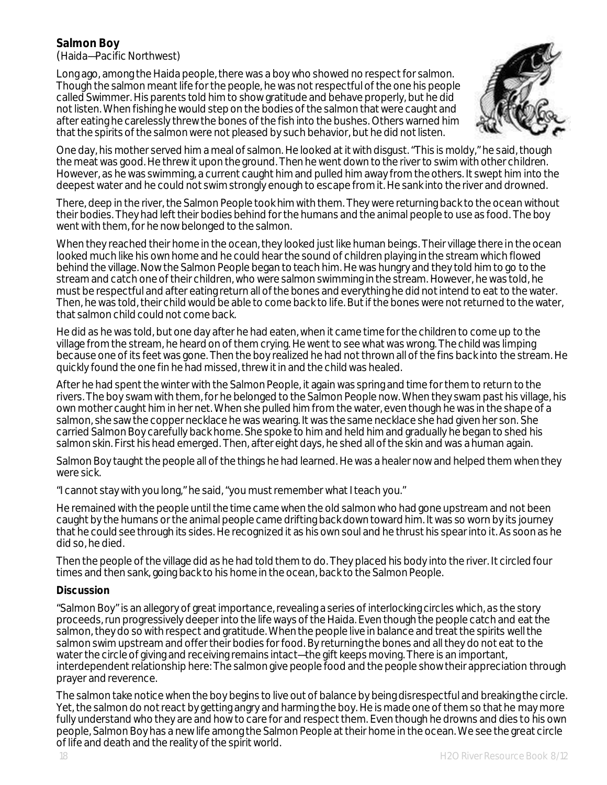## **Salmon Boy**

(Haida—Pacific Northwest)

Long ago, among the Haida people, there was a boy who showed no respect for salmon. Though the salmon meant life for the people, he was not respectful of the one his people called Swimmer. His parents told him to show gratitude and behave properly, but he did not listen. When fishing he would step on the bodies of the salmon that were caught and after eating he carelessly threw the bones of the fish into the bushes. Others warned him that the spirits of the salmon were not pleased by such behavior, but he did not listen.



One day, his mother served him a meal of salmon. He looked at it with disgust. "This is moldy," he said, though the meat was good. He threw it upon the ground. Then he went down to the river to swim with other children. However, as he was swimming, a current caught him and pulled him away from the others. It swept him into the deepest water and he could not swim strongly enough to escape from it. He sank into the river and drowned.

There, deep in the river, the Salmon People took him with them. They were returning back to the ocean without their bodies. They had left their bodies behind for the humans and the animal people to use as food. The boy went with them, for he now belonged to the salmon.

When they reached their home in the ocean, they looked just like human beings. Their village there in the ocean looked much like his own home and he could hear the sound of children playing in the stream which flowed behind the village. Now the Salmon People began to teach him. He was hungry and they told him to go to the stream and catch one of their children, who were salmon swimming in the stream. However, he was told, he must be respectful and after eating return all of the bones and everything he did not intend to eat to the water. Then, he was told, their child would be able to come back to life. But if the bones were not returned to the water, that salmon child could not come back.

He did as he was told, but one day after he had eaten, when it came time for the children to come up to the village from the stream, he heard on of them crying. He went to see what was wrong. The child was limping because one of its feet was gone. Then the boy realized he had not thrown all of the fins back into the stream. He quickly found the one fin he had missed, threw it in and the child was healed.

After he had spent the winter with the Salmon People, it again was spring and time for them to return to the rivers. The boy swam with them, for he belonged to the Salmon People now. When they swam past his village, his own mother caught him in her net. When she pulled him from the water, even though he was in the shape of a salmon, she saw the copper necklace he was wearing. It was the same necklace she had given her son. She carried Salmon Boy carefully back home. She spoke to him and held him and gradually he began to shed his salmon skin. First his head emerged. Then, after eight days, he shed all of the skin and was a human again.

Salmon Boy taught the people all of the things he had learned. He was a healer now and helped them when they were sick.

"I cannot stay with you long," he said, "you must remember what I teach you."

He remained with the people until the time came when the old salmon who had gone upstream and not been caught by the humans or the animal people came drifting back down toward him. It was so worn by its journey that he could see through its sides. He recognized it as his own soul and he thrust his spear into it. As soon as he did so, he died.

Then the people of the village did as he had told them to do. They placed his body into the river. It circled four times and then sank, going back to his home in the ocean, back to the Salmon People.

#### **Discussion**

"Salmon Boy" is an allegory of great importance, revealing a series of interlocking circles which, as the story proceeds, run progressively deeper into the life ways of the Haida. Even though the people catch and eat the salmon, they do so with respect and gratitude. When the people live in balance and treat the spirits well the salmon swim upstream and offer their bodies for food. By returning the bones and all they do not eat to the water the circle of giving and receiving remains intact—the gift keeps moving. There is an important, interdependent relationship here: The salmon give people food and the people show their appreciation through prayer and reverence.

The salmon take notice when the boy begins to live out of balance by being disrespectful and breaking the circle. Yet, the salmon do not react by getting angry and harming the boy. He is made one of them so that he may more fully understand who they are and how to care for and respect them. Even though he drowns and dies to his own people, Salmon Boy has a new life among the Salmon People at their home in the ocean. We see the great circle of life and death and the reality of the spirit world.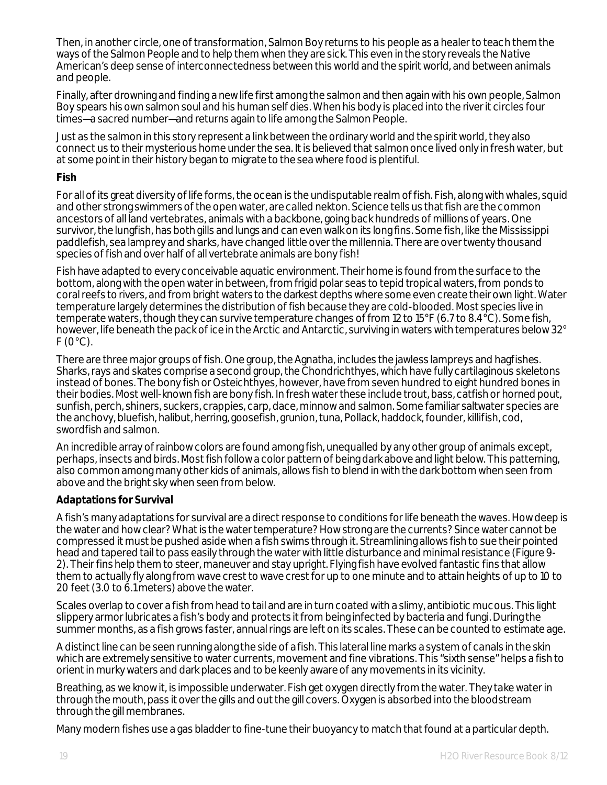Then, in another circle, one of transformation, Salmon Boy returns to his people as a healer to teach them the ways of the Salmon People and to help them when they are sick. This even in the story reveals the Native American's deep sense of interconnectedness between this world and the spirit world, and between animals and people.

Finally, after drowning and finding a new life first among the salmon and then again with his own people, Salmon Boy spears his own salmon soul and his human self dies. When his body is placed into the river it circles four times—a sacred number—and returns again to life among the Salmon People.

Just as the salmon in this story represent a link between the ordinary world and the spirit world, they also connect us to their mysterious home under the sea. It is believed that salmon once lived only in fresh water, but at some point in their history began to migrate to the sea where food is plentiful.

#### **Fish**

For all of its great diversity of life forms, the ocean is the undisputable realm of fish. Fish, along with whales, squid and other strong swimmers of the open water, are called nekton. Science tells us that fish are the common ancestors of all land vertebrates, animals with a backbone, going back hundreds of millions of years. One survivor, the lungfish, has both gills and lungs and can even walk on its long fins. Some fish, like the Mississippi paddlefish, sea lamprey and sharks, have changed little over the millennia. There are over twenty thousand species of fish and over half of all vertebrate animals are bony fish!

Fish have adapted to every conceivable aquatic environment. Their home is found from the surface to the bottom, along with the open water in between, from frigid polar seas to tepid tropical waters, from ponds to coral reefs to rivers, and from bright waters to the darkest depths where some even create their own light. Water temperature largely determines the distribution of fish because they are cold-blooded. Most species live in temperate waters, though they can survive temperature changes of from 12 to 15°F (6.7 to 8.4°C). Some fish, however, life beneath the pack of ice in the Arctic and Antarctic, surviving in waters with temperatures below 32°  $F (0^{\circ}C)$ .

There are three major groups of fish. One group, the Agnatha, includes the jawless lampreys and hagfishes. Sharks, rays and skates comprise a second group, the Chondrichthyes, which have fully cartilaginous skeletons instead of bones. The bony fish or Osteichthyes, however, have from seven hundred to eight hundred bones in their bodies. Most well-known fish are bony fish. In fresh water these include trout, bass, catfish or horned pout, sunfish, perch, shiners, suckers, crappies, carp, dace, minnow and salmon. Some familiar saltwater species are the anchovy, bluefish, halibut, herring, goosefish, grunion, tuna, Pollack, haddock, founder, killifish, cod, swordfish and salmon.

An incredible array of rainbow colors are found among fish, unequalled by any other group of animals except, perhaps, insects and birds. Most fish follow a color pattern of being dark above and light below. This patterning, also common among many other kids of animals, allows fish to blend in with the dark bottom when seen from above and the bright sky when seen from below.

#### **Adaptations for Survival**

A fish's many adaptations for survival are a direct response to conditions for life beneath the waves. How deep is the water and how clear? What is the water temperature? How strong are the currents? Since water cannot be compressed it must be pushed aside when a fish swims through it. Streamlining allows fish to sue their pointed head and tapered tail to pass easily through the water with little disturbance and minimal resistance (Figure 9- 2). Their fins help them to steer, maneuver and stay upright. Flying fish have evolved fantastic fins that allow them to actually fly along from wave crest to wave crest for up to one minute and to attain heights of up to 10 to 20 feet (3.0 to 6.1 meters) above the water.

Scales overlap to cover a fish from head to tail and are in turn coated with a slimy, antibiotic mucous. This light slippery armor lubricates a fish's body and protects it from being infected by bacteria and fungi. During the summer months, as a fish grows faster, annual rings are left on its scales. These can be counted to estimate age.

A distinct line can be seen running along the side of a fish. This lateral line marks a system of canals in the skin which are extremely sensitive to water currents, movement and fine vibrations. This "sixth sense" helps a fish to orient in murky waters and dark places and to be keenly aware of any movements in its vicinity.

Breathing, as we know it, is impossible underwater. Fish get oxygen directly from the water. They take water in through the mouth, pass it over the gills and out the gill covers. Oxygen is absorbed into the bloodstream through the gill membranes.

Many modern fishes use a gas bladder to fine-tune their buoyancy to match that found at a particular depth.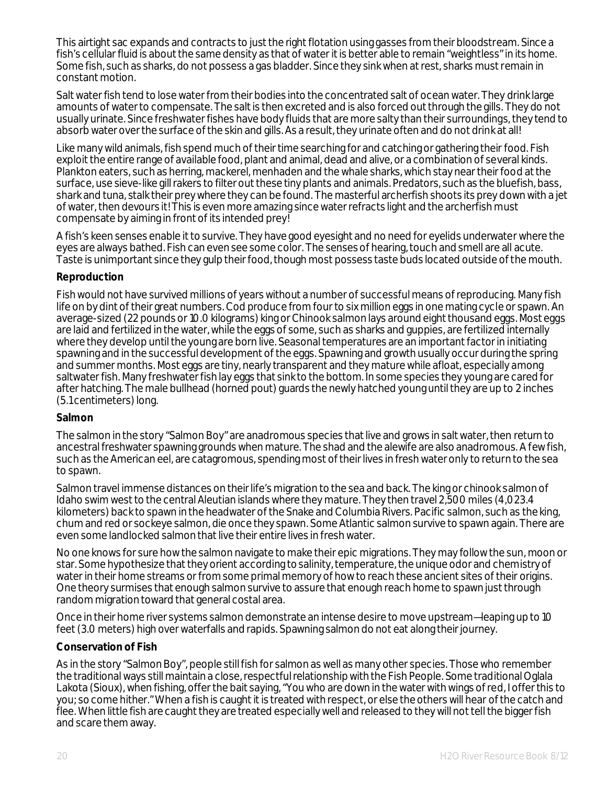This airtight sac expands and contracts to just the right flotation using gasses from their bloodstream. Since a fish's cellular fluid is about the same density as that of water it is better able to remain "weightless" in its home. Some fish, such as sharks, do not possess a gas bladder. Since they sink when at rest, sharks must remain in constant motion.

Salt water fish tend to lose water from their bodies into the concentrated salt of ocean water. They drink large amounts of water to compensate. The salt is then excreted and is also forced out through the gills. They do not usually urinate. Since freshwater fishes have body fluids that are more salty than their surroundings, they tend to absorb water over the surface of the skin and gills. As a result, they urinate often and do not drink at all!

Like many wild animals, fish spend much of their time searching for and catching or gathering their food. Fish exploit the entire range of available food, plant and animal, dead and alive, or a combination of several kinds. Plankton eaters, such as herring, mackerel, menhaden and the whale sharks, which stay near their food at the surface, use sieve-like gill rakers to filter out these tiny plants and animals. Predators, such as the bluefish, bass, shark and tuna, stalk their prey where they can be found. The masterful archerfish shoots its prey down with a jet of water, then devours it! This is even more amazing since water refracts light and the archerfish must compensate by aiming in front of its intended prey!

A fish's keen senses enable it to survive. They have good eyesight and no need for eyelids underwater where the eyes are always bathed. Fish can even see some color. The senses of hearing, touch and smell are all acute. Taste is unimportant since they gulp their food, though most possess taste buds located outside of the mouth.

#### **Reproduction**

Fish would not have survived millions of years without a number of successful means of reproducing. Many fish life on by dint of their great numbers. Cod produce from four to six million eggs in one mating cycle or spawn. An average-sized (22 pounds or 10.0 kilograms) king or Chinook salmon lays around eight thousand eggs. Most eggs are laid and fertilized in the water, while the eggs of some, such as sharks and guppies, are fertilized internally where they develop until the young are born live. Seasonal temperatures are an important factor in initiating spawning and in the successful development of the eggs. Spawning and growth usually occur during the spring and summer months. Most eggs are tiny, nearly transparent and they mature while afloat, especially among saltwater fish. Many freshwater fish lay eggs that sink to the bottom. In some species they young are cared for after hatching. The male bullhead (horned pout) guards the newly hatched young until they are up to 2 inches (5.1 centimeters) long.

#### **Salmon**

The salmon in the story "Salmon Boy" are anadromous species that live and grows in salt water, then return to ancestral freshwater spawning grounds when mature. The shad and the alewife are also anadromous. A few fish, such as the American eel, are catagromous, spending most of their lives in fresh water only to return to the sea to spawn.

Salmon travel immense distances on their life's migration to the sea and back. The king or chinook salmon of Idaho swim west to the central Aleutian islands where they mature. They then travel 2,500 miles (4,023.4 kilometers) back to spawn in the headwater of the Snake and Columbia Rivers. Pacific salmon, such as the king, chum and red or sockeye salmon, die once they spawn. Some Atlantic salmon survive to spawn again. There are even some landlocked salmon that live their entire lives in fresh water.

No one knows for sure how the salmon navigate to make their epic migrations. They may follow the sun, moon or star. Some hypothesize that they orient according to salinity, temperature, the unique odor and chemistry of water in their home streams or from some primal memory of how to reach these ancient sites of their origins. One theory surmises that enough salmon survive to assure that enough reach home to spawn just through random migration toward that general costal area.

Once in their home river systems salmon demonstrate an intense desire to move upstream—leaping up to 10 feet (3.0 meters) high over waterfalls and rapids. Spawning salmon do not eat along their journey.

## **Conservation of Fish**

As in the story "Salmon Boy", people still fish for salmon as well as many other species. Those who remember the traditional ways still maintain a close, respectful relationship with the Fish People. Some traditional Oglala Lakota (Sioux), when fishing, offer the bait saying, "You who are down in the water with wings of red, I offer this to you; so come hither." When a fish is caught it is treated with respect, or else the others will hear of the catch and flee. When little fish are caught they are treated especially well and released to they will not tell the bigger fish and scare them away.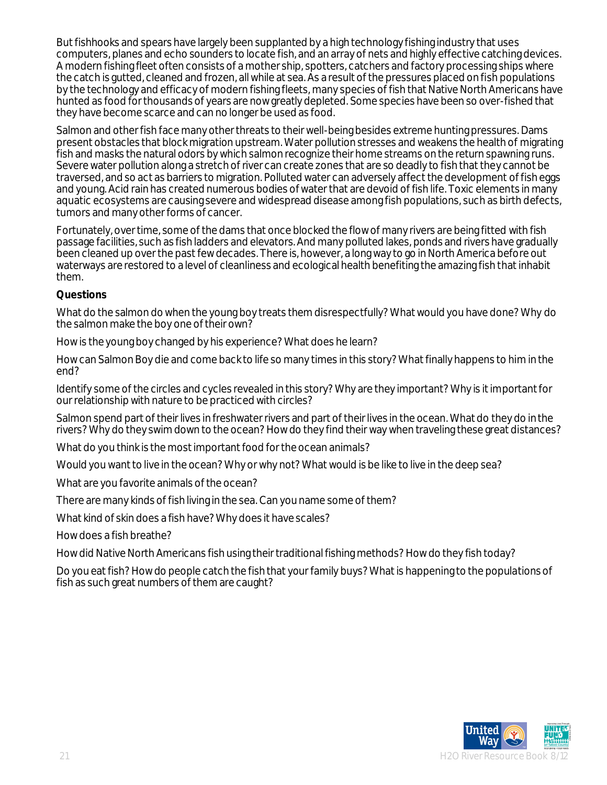But fishhooks and spears have largely been supplanted by a high technology fishing industry that uses computers, planes and echo sounders to locate fish, and an array of nets and highly effective catching devices. A modern fishing fleet often consists of a mother ship, spotters, catchers and factory processing ships where the catch is gutted, cleaned and frozen, all while at sea. As a result of the pressures placed on fish populations by the technology and efficacy of modern fishing fleets, many species of fish that Native North Americans have hunted as food for thousands of years are now greatly depleted. Some species have been so over-fished that they have become scarce and can no longer be used as food.

Salmon and other fish face many other threats to their well-being besides extreme hunting pressures. Dams present obstacles that block migration upstream. Water pollution stresses and weakens the health of migrating fish and masks the natural odors by which salmon recognize their home streams on the return spawning runs. Severe water pollution along a stretch of river can create zones that are so deadly to fish that they cannot be traversed, and so act as barriers to migration. Polluted water can adversely affect the development of fish eggs and young. Acid rain has created numerous bodies of water that are devoid of fish life. Toxic elements in many aquatic ecosystems are causing severe and widespread disease among fish populations, such as birth defects, tumors and many other forms of cancer.

Fortunately, over time, some of the dams that once blocked the flow of many rivers are being fitted with fish passage facilities, such as fish ladders and elevators. And many polluted lakes, ponds and rivers have gradually been cleaned up over the past few decades. There is, however, a long way to go in North America before out waterways are restored to a level of cleanliness and ecological health benefiting the amazing fish that inhabit them.

#### **Questions**

What do the salmon do when the young boy treats them disrespectfully? What would you have done? Why do the salmon make the boy one of their own?

How is the young boy changed by his experience? What does he learn?

How can Salmon Boy die and come back to life so many times in this story? What finally happens to him in the end?

Identify some of the circles and cycles revealed in this story? Why are they important? Why is it important for our relationship with nature to be practiced with circles?

Salmon spend part of their lives in freshwater rivers and part of their lives in the ocean. What do they do in the rivers? Why do they swim down to the ocean? How do they find their way when traveling these great distances?

What do you think is the most important food for the ocean animals?

Would you want to live in the ocean? Why or why not? What would is be like to live in the deep sea?

What are you favorite animals of the ocean?

There are many kinds of fish living in the sea. Can you name some of them?

What kind of skin does a fish have? Why does it have scales?

How does a fish breathe?

How did Native North Americans fish using their traditional fishing methods? How do they fish today?

Do you eat fish? How do people catch the fish that your family buys? What is happening to the populations of fish as such great numbers of them are caught?

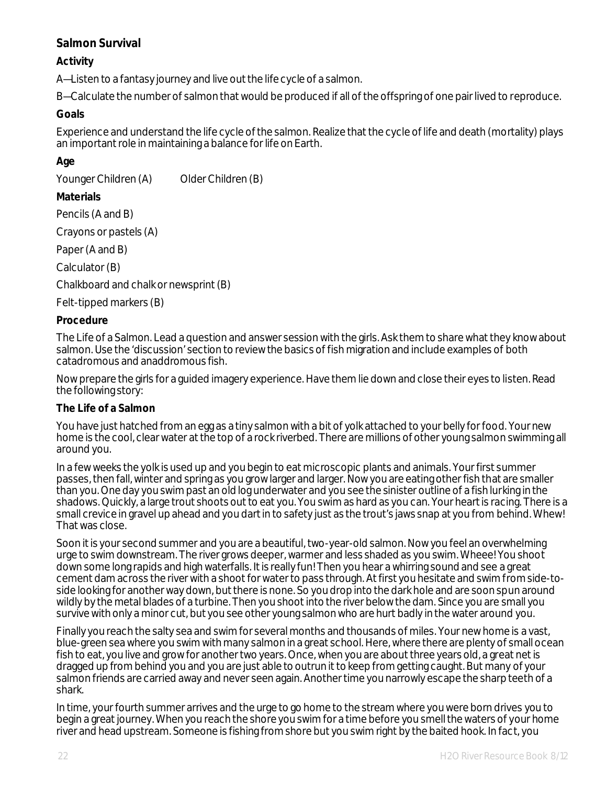## **Salmon Survival**

## **Activity**

A—Listen to a fantasy journey and live out the life cycle of a salmon.

B—Calculate the number of salmon that would be produced if all of the offspring of one pair lived to reproduce.

## **Goals**

Experience and understand the life cycle of the salmon. Realize that the cycle of life and death (mortality) plays an important role in maintaining a balance for life on Earth.

## **Age**

Younger Children (A) Older Children (B)

## **Materials**

Pencils (A and B)

Crayons or pastels (A)

Paper (A and B)

Calculator (B)

Chalkboard and chalk or newsprint (B)

Felt-tipped markers (B)

## **Procedure**

The Life of a Salmon. Lead a question and answer session with the girls. Ask them to share what they know about salmon. Use the 'discussion' section to review the basics of fish migration and include examples of both catadromous and anaddromous fish.

Now prepare the girls for a guided imagery experience. Have them lie down and close their eyes to listen. Read the following story:

## **The Life of a Salmon**

You have just hatched from an egg as a tiny salmon with a bit of yolk attached to your belly for food. Your new home is the cool, clear water at the top of a rock riverbed. There are millions of other young salmon swimming all around you.

In a few weeks the yolk is used up and you begin to eat microscopic plants and animals. Your first summer passes, then fall, winter and spring as you grow larger and larger. Now you are eating other fish that are smaller than you. One day you swim past an old log underwater and you see the sinister outline of a fish lurking in the shadows. Quickly, a large trout shoots out to eat you. You swim as hard as you can. Your heart is racing. There is a small crevice in gravel up ahead and you dart in to safety just as the trout's jaws snap at you from behind. Whew! That was close.

Soon it is your second summer and you are a beautiful, two-year-old salmon. Now you feel an overwhelming urge to swim downstream. The river grows deeper, warmer and less shaded as you swim. Wheee! You shoot down some long rapids and high waterfalls. It is really fun! Then you hear a whirring sound and see a great cement dam across the river with a shoot for water to pass through. At first you hesitate and swim from side-toside looking for another way down, but there is none. So you drop into the dark hole and are soon spun around wildly by the metal blades of a turbine. Then you shoot into the river below the dam. Since you are small you survive with only a minor cut, but you see other young salmon who are hurt badly in the water around you.

Finally you reach the salty sea and swim for several months and thousands of miles. Your new home is a vast, blue-green sea where you swim with many salmon in a great school. Here, where there are plenty of small ocean fish to eat, you live and grow for another two years. Once, when you are about three years old, a great net is dragged up from behind you and you are just able to outrun it to keep from getting caught. But many of your salmon friends are carried away and never seen again. Another time you narrowly escape the sharp teeth of a shark.

In time, your fourth summer arrives and the urge to go home to the stream where you were born drives you to begin a great journey. When you reach the shore you swim for a time before you smell the waters of your home river and head upstream. Someone is fishing from shore but you swim right by the baited hook. In fact, you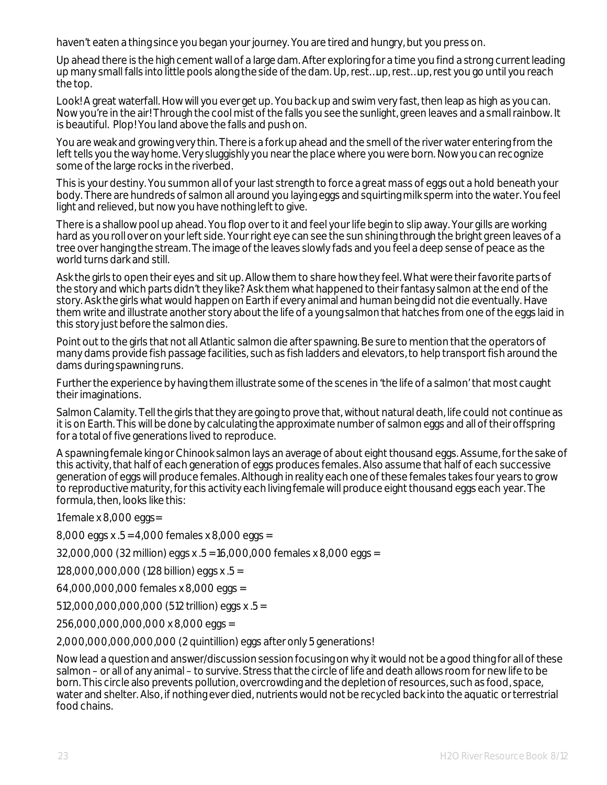haven't eaten a thing since you began your journey. You are tired and hungry, but you press on.

Up ahead there is the high cement wall of a large dam. After exploring for a time you find a strong current leading up many small falls into little pools along the side of the dam. Up, rest…up, rest…up, rest you go until you reach the top.

Look! A great waterfall. How will you ever get up. You back up and swim very fast, then leap as high as you can. Now you're in the air! Through the cool mist of the falls you see the sunlight, green leaves and a small rainbow. It is beautiful. Plop! You land above the falls and push on.

You are weak and growing very thin. There is a fork up ahead and the smell of the river water entering from the left tells you the way home. Very sluggishly you near the place where you were born. Now you can recognize some of the large rocks in the riverbed.

This is your destiny. You summon all of your last strength to force a great mass of eggs out a hold beneath your body. There are hundreds of salmon all around you laying eggs and squirting milk sperm into the water. You feel light and relieved, but now you have nothing left to give.

There is a shallow pool up ahead. You flop over to it and feel your life begin to slip away. Your gills are working hard as you roll over on your left side. Your right eye can see the sun shining through the bright green leaves of a tree over hanging the stream. The image of the leaves slowly fads and you feel a deep sense of peace as the world turns dark and still.

Ask the girls to open their eyes and sit up. Allow them to share how they feel. What were their favorite parts of the story and which parts didn't they like? Ask them what happened to their fantasy salmon at the end of the story. Ask the girls what would happen on Earth if every animal and human being did not die eventually. Have them write and illustrate another story about the life of a young salmon that hatches from one of the eggs laid in this story just before the salmon dies.

Point out to the girls that not all Atlantic salmon die after spawning. Be sure to mention that the operators of many dams provide fish passage facilities, such as fish ladders and elevators, to help transport fish around the dams during spawning runs.

Further the experience by having them illustrate some of the scenes in 'the life of a salmon' that most caught their imaginations.

Salmon Calamity. Tell the girls that they are going to prove that, without natural death, life could not continue as it is on Earth. This will be done by calculating the approximate number of salmon eggs and all of their offspring for a total of five generations lived to reproduce.

A spawning female king or Chinook salmon lays an average of about eight thousand eggs. Assume, for the sake of this activity, that half of each generation of eggs produces females. Also assume that half of each successive generation of eggs will produce females. Although in reality each one of these females takes four years to grow to reproductive maturity, for this activity each living female will produce eight thousand eggs each year. The formula, then, looks like this:

1 female x 8,000 eggs=

8,000 eggs x .5 = 4,000 females x 8,000 eggs =

32,000,000 (32 million) eggs x .5 = 16,000,000 females x 8,000 eggs =

128,000,000,000 (128 billion) eggs x .5 =

64,000,000,000 females x 8,000 eggs =

512,000,000,000,000 (512 trillion) eggs x .5 =

256,000,000,000,000 x 8,000 eggs =

2,000,000,000,000,000 (2 quintillion) eggs after only 5 generations!

Now lead a question and answer/discussion session focusing on why it would not be a good thing for all of these salmon – or all of any animal – to survive. Stress that the circle of life and death allows room for new life to be born. This circle also prevents pollution, overcrowding and the depletion of resources, such as food, space, water and shelter. Also, if nothing ever died, nutrients would not be recycled back into the aquatic or terrestrial food chains.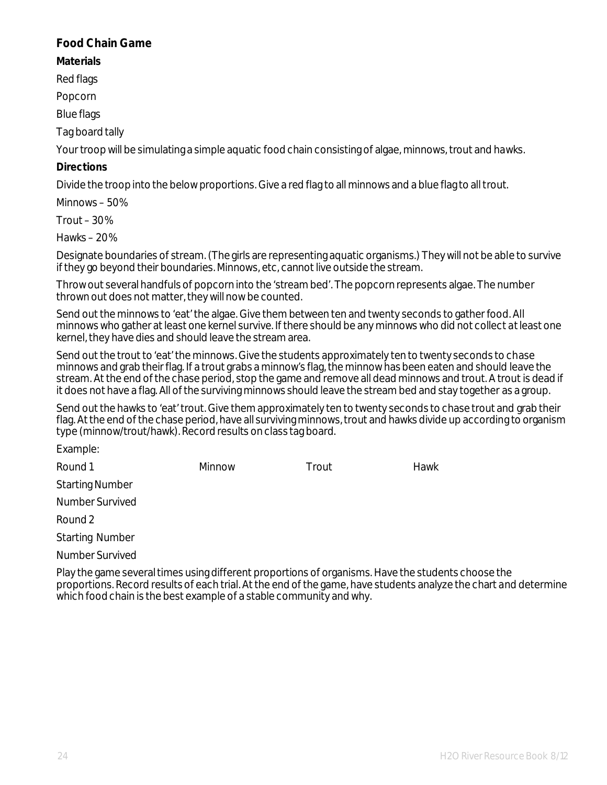## **Food Chain Game**

#### **Materials**

Red flags

Popcorn

Blue flags

Tag board tally

Your troop will be simulating a simple aquatic food chain consisting of algae, minnows, trout and hawks.

## **Directions**

Divide the troop into the below proportions. Give a red flag to all minnows and a blue flag to all trout.

Minnows – 50%

 $Trout - 30%$ 

Hawks – 20%

Designate boundaries of stream. (The girls are representing aquatic organisms.) They will not be able to survive if they go beyond their boundaries. Minnows, etc, cannot live outside the stream.

Throw out several handfuls of popcorn into the 'stream bed'. The popcorn represents algae. The number thrown out does not matter, they will now be counted.

Send out the minnows to 'eat' the algae. Give them between ten and twenty seconds to gather food. All minnows who gather at least one kernel survive. If there should be any minnows who did not collect at least one kernel, they have dies and should leave the stream area.

Send out the trout to 'eat' the minnows. Give the students approximately ten to twenty seconds to chase minnows and grab their flag. If a trout grabs a minnow's flag, the minnow has been eaten and should leave the stream. At the end of the chase period, stop the game and remove all dead minnows and trout. A trout is dead if it does not have a flag. All of the surviving minnows should leave the stream bed and stay together as a group.

Send out the hawks to 'eat' trout. Give them approximately ten to twenty seconds to chase trout and grab their flag. At the end of the chase period, have all surviving minnows, trout and hawks divide up according to organism type (minnow/trout/hawk). Record results on class tag board.

Example:

Round 1 Minnow Trout **Hawk** 

Starting Number

Number Survived

Round 2

Starting Number

Number Survived

Play the game several times using different proportions of organisms. Have the students choose the proportions. Record results of each trial. At the end of the game, have students analyze the chart and determine which food chain is the best example of a stable community and why.